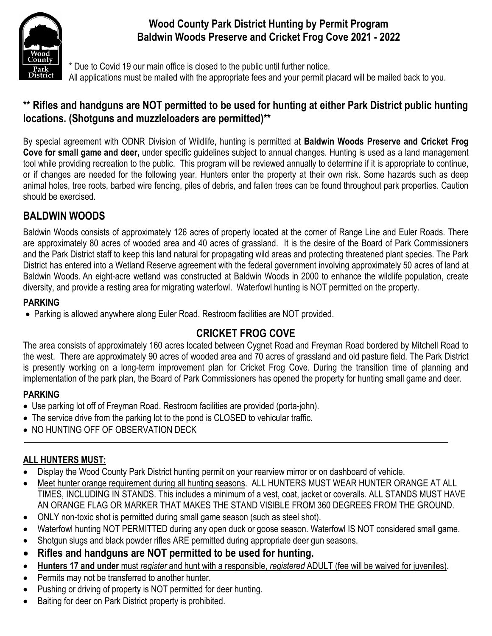

# **Wood County Park District Hunting by Permit Program Baldwin Woods Preserve and Cricket Frog Cove 2021 - 2022**

Due to Covid 19 our main office is closed to the public until further notice. All applications must be mailed with the appropriate fees and your permit placard will be mailed back to you.

# **\*\* Rifles and handguns are NOT permitted to be used for hunting at either Park District public hunting locations. (Shotguns and muzzleloaders are permitted)\*\***

By special agreement with ODNR Division of Wildlife, hunting is permitted at **Baldwin Woods Preserve and Cricket Frog Cove for small game and deer,** under specific guidelines subject to annual changes. Hunting is used as a land management tool while providing recreation to the public. This program will be reviewed annually to determine if it is appropriate to continue, or if changes are needed for the following year. Hunters enter the property at their own risk. Some hazards such as deep animal holes, tree roots, barbed wire fencing, piles of debris, and fallen trees can be found throughout park properties. Caution should be exercised.

# **BALDWIN WOODS**

Baldwin Woods consists of approximately 126 acres of property located at the corner of Range Line and Euler Roads. There are approximately 80 acres of wooded area and 40 acres of grassland. It is the desire of the Board of Park Commissioners and the Park District staff to keep this land natural for propagating wild areas and protecting threatened plant species. The Park District has entered into a Wetland Reserve agreement with the federal government involving approximately 50 acres of land at Baldwin Woods. An eight-acre wetland was constructed at Baldwin Woods in 2000 to enhance the wildlife population, create diversity, and provide a resting area for migrating waterfowl. Waterfowl hunting is NOT permitted on the property.

#### **PARKING**

• Parking is allowed anywhere along Euler Road. Restroom facilities are NOT provided.

# **CRICKET FROG COVE**

The area consists of approximately 160 acres located between Cygnet Road and Freyman Road bordered by Mitchell Road to the west. There are approximately 90 acres of wooded area and 70 acres of grassland and old pasture field. The Park District is presently working on a long-term improvement plan for Cricket Frog Cove. During the transition time of planning and implementation of the park plan, the Board of Park Commissioners has opened the property for hunting small game and deer.

### **PARKING**

- Use parking lot off of Freyman Road. Restroom facilities are provided (porta-john).
- The service drive from the parking lot to the pond is CLOSED to vehicular traffic.
- NO HUNTING OFF OF OBSERVATION DECK

### **ALL HUNTERS MUST:**

- Display the Wood County Park District hunting permit on your rearview mirror or on dashboard of vehicle.
- Meet hunter orange requirement during all hunting seasons. ALL HUNTERS MUST WEAR HUNTER ORANGE AT ALL TIMES, INCLUDING IN STANDS. This includes a minimum of a vest, coat, jacket or coveralls. ALL STANDS MUST HAVE AN ORANGE FLAG OR MARKER THAT MAKES THE STAND VISIBLE FROM 360 DEGREES FROM THE GROUND.
- ONLY non-toxic shot is permitted during small game season (such as steel shot).
- Waterfowl hunting NOT PERMITTED during any open duck or goose season. Waterfowl IS NOT considered small game.
- Shotgun slugs and black powder rifles ARE permitted during appropriate deer gun seasons.
- **Rifles and handguns are NOT permitted to be used for hunting.**
- **Hunters 17 and under** must *register* and hunt with a responsible, *registered* ADULT (fee will be waived for juveniles).
- Permits may not be transferred to another hunter.
- Pushing or driving of property is NOT permitted for deer hunting.
- Baiting for deer on Park District property is prohibited.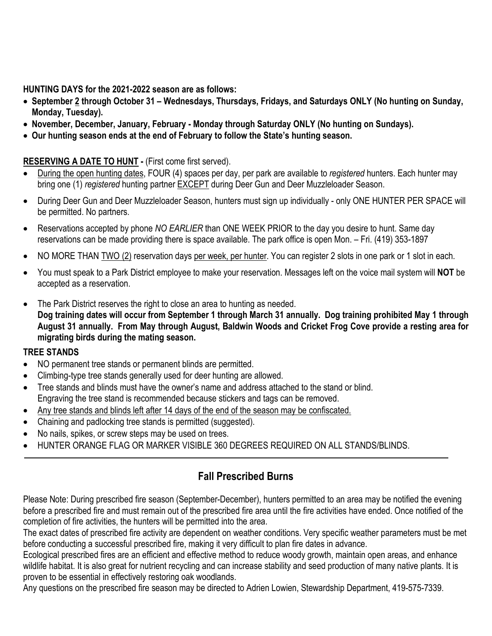**HUNTING DAYS for the 2021-2022 season are as follows:** 

- **September 2 through October 31 – Wednesdays, Thursdays, Fridays, and Saturdays ONLY (No hunting on Sunday, Monday, Tuesday).**
- **November, December, January, February - Monday through Saturday ONLY (No hunting on Sundays).**
- **Our hunting season ends at the end of February to follow the State's hunting season.**

#### **RESERVING A DATE TO HUNT -** (First come first served).

- During the open hunting dates, FOUR (4) spaces per day, per park are available to *registered* hunters. Each hunter may bring one (1) *registered* hunting partner EXCEPT during Deer Gun and Deer Muzzleloader Season.
- During Deer Gun and Deer Muzzleloader Season, hunters must sign up individually only ONE HUNTER PER SPACE will be permitted. No partners.
- Reservations accepted by phone *NO EARLIER* than ONE WEEK PRIOR to the day you desire to hunt. Same day reservations can be made providing there is space available. The park office is open Mon. – Fri. (419) 353-1897
- NO MORE THAN TWO (2) reservation days per week, per hunter. You can register 2 slots in one park or 1 slot in each.
- You must speak to a Park District employee to make your reservation. Messages left on the voice mail system will **NOT** be accepted as a reservation.
- The Park District reserves the right to close an area to hunting as needed. **Dog training dates will occur from September 1 through March 31 annually. Dog training prohibited May 1 through August 31 annually. From May through August, Baldwin Woods and Cricket Frog Cove provide a resting area for migrating birds during the mating season.**

#### **TREE STANDS**

- NO permanent tree stands or permanent blinds are permitted.
- Climbing-type tree stands generally used for deer hunting are allowed.
- Tree stands and blinds must have the owner's name and address attached to the stand or blind. Engraving the tree stand is recommended because stickers and tags can be removed.
- Any tree stands and blinds left after 14 days of the end of the season may be confiscated.
- Chaining and padlocking tree stands is permitted (suggested).
- No nails, spikes, or screw steps may be used on trees.
- HUNTER ORANGE FLAG OR MARKER VISIBLE 360 DEGREES REQUIRED ON ALL STANDS/BLINDS.

# **Fall Prescribed Burns**

Please Note: During prescribed fire season (September-December), hunters permitted to an area may be notified the evening before a prescribed fire and must remain out of the prescribed fire area until the fire activities have ended. Once notified of the completion of fire activities, the hunters will be permitted into the area.

The exact dates of prescribed fire activity are dependent on weather conditions. Very specific weather parameters must be met before conducting a successful prescribed fire, making it very difficult to plan fire dates in advance.

Ecological prescribed fires are an efficient and effective method to reduce woody growth, maintain open areas, and enhance wildlife habitat. It is also great for nutrient recycling and can increase stability and seed production of many native plants. It is proven to be essential in effectively restoring oak woodlands.

Any questions on the prescribed fire season may be directed to Adrien Lowien, Stewardship Department, 419-575-7339.